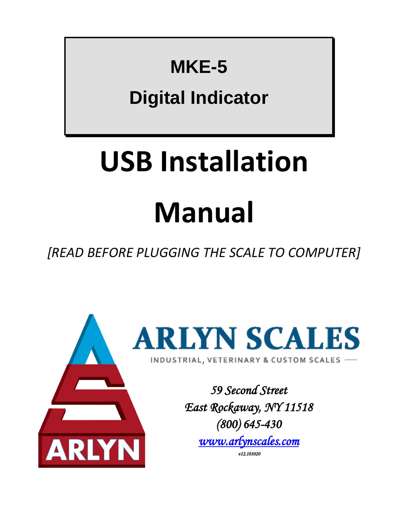## **MKE-5**

## **Digital Indicator**

# **USB Installation**

## **Manual**

*[READ BEFORE PLUGGING THE SCALE TO COMPUTER]*

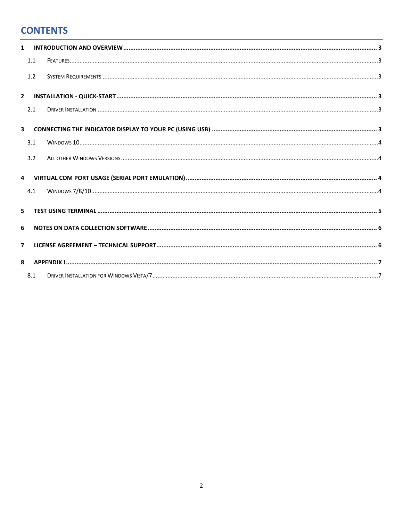#### **CONTENTS**

| $\mathbf{1}$            |     |  |  |  |
|-------------------------|-----|--|--|--|
|                         | 1.1 |  |  |  |
|                         | 1.2 |  |  |  |
| $\overline{2}$          |     |  |  |  |
|                         | 2.1 |  |  |  |
| $\overline{\mathbf{3}}$ |     |  |  |  |
|                         | 3.1 |  |  |  |
|                         | 3.2 |  |  |  |
| $\overline{4}$          |     |  |  |  |
|                         | 4.1 |  |  |  |
| 5                       |     |  |  |  |
| 6                       |     |  |  |  |
| $\overline{7}$          |     |  |  |  |
| 8                       |     |  |  |  |
|                         | 8.1 |  |  |  |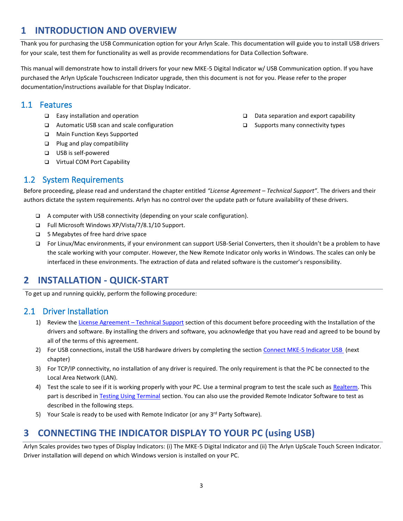#### <span id="page-2-0"></span>**1 INTRODUCTION AND OVERVIEW**

Thank you for purchasing the USB Communication option for your Arlyn Scale. This documentation will guide you to install USB drivers for your scale, test them for functionality as well as provide recommendations for Data Collection Software.

This manual will demonstrate how to install drivers for your new MKE-5 Digital Indicator w/ USB Communication option. If you have purchased the Arlyn UpScale Touchscreen Indicator upgrade, then this document is not for you. Please refer to the proper documentation/instructions available for that Display Indicator.

#### <span id="page-2-1"></span>1.1 Features

- ❑ Easy installation and operation
- ❑ Automatic USB scan and scale configuration
- ❑ Main Function Keys Supported
- ❑ Plug and play compatibility
- ❑ USB is self-powered
- ❑ Virtual COM Port Capability

#### <span id="page-2-2"></span>1.2 System Requirements

❑ Data separation and export capability

❑ Supports many connectivity types

Before proceeding, please read and understand the chapter entitled *"License Agreement – Technical Support"*. The drivers and their authors dictate the system requirements. Arlyn has no control over the update path or future availability of these drivers.

- ❑ A computer with USB connectivity (depending on your scale configuration).
- ❑ Full Microsoft Windows XP/Vista/7/8.1/10 Support.
- ❑ 5 Megabytes of free hard drive space
- ❑ For Linux/Mac environments, if your environment can support USB-Serial Converters, then it shouldn't be a problem to have the scale working with your computer. However, the New Remote Indicator only works in Windows. The scales can only be interfaced in these environments. The extraction of data and related software is the customer's responsibility.

#### <span id="page-2-3"></span>**2 INSTALLATION - QUICK-START**

To get up and running quickly, perform the following procedure:

#### <span id="page-2-4"></span>2.1 Driver Installation

- 1) Review th[e License Agreement](#page-5-1)  Technical Support section of this document before proceeding with the Installation of the drivers and software. By installing the drivers and software, you acknowledge that you have read and agreed to be bound by all of the terms of this agreement.
- 2) For USB connections, install the USB hardware drivers by completing the section Connect MKE-5 Indicator USB (next chapter)
- 3) For TCP/IP connectivity, no installation of any driver is required. The only requirement is that the PC be connected to the Local Area Network (LAN).
- 4) Test the scale to see if it is working properly with your PC. Use a terminal program to test the scale such as [Realterm.](https://sourceforge.net/projects/realterm/) This part is described i[n Testing Using Terminal](#page-4-0) section. You can also use the provided Remote Indicator Software to test as described in the following steps.
- 5) Your Scale is ready to be used with Remote Indicator (or any  $3^{rd}$  Party Software).

#### <span id="page-2-5"></span>**3 CONNECTING THE INDICATOR DISPLAY TO YOUR PC (using USB)**

Arlyn Scales provides two types of Display Indicators: (i) The MKE-5 Digital Indicator and (ii) The Arlyn UpScale Touch Screen Indicator. Driver installation will depend on which Windows version is installed on your PC.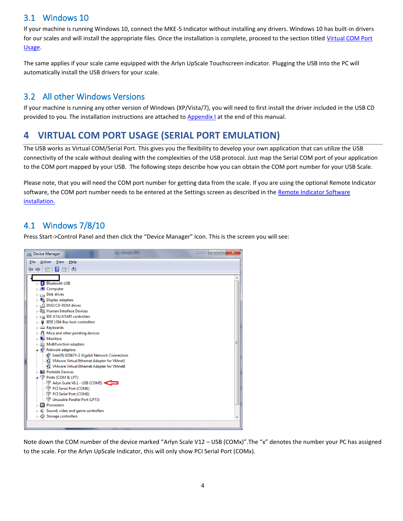#### <span id="page-3-0"></span>3.1 Windows 10

If your machine is running Windows 10, connect the MKE-5 Indicator without installing any drivers. Windows 10 has built-in drivers for our scales and will install the appropriate files. Once the installation is complete, proceed to the section titled [Virtual COM Port](#page-3-2)  [Usage.](#page-3-2)

The same applies if your scale came equipped with the Arlyn UpScale Touchscreen indicator. Plugging the USB into the PC will automatically install the USB drivers for your scale.

#### <span id="page-3-1"></span>3.2 All other Windows Versions

If your machine is running any other version of Windows (XP/Vista/7), you will need to first install the driver included in the USB CD provided to you. The installation instructions are attached to [Appendix I](#page-6-0) at the end of this manual.

#### <span id="page-3-2"></span>**4 VIRTUAL COM PORT USAGE (SERIAL PORT EMULATION)**

The USB works as Virtual COM/Serial Port. This gives you the flexibility to develop your own application that can utilize the USB connectivity of the scale without dealing with the complexities of the USB protocol. Just map the Serial COM port of your application to the COM port mapped by your USB. The following steps describe how you can obtain the COM port number for your USB Scale.

Please note, that you will need the COM port number for getting data from the scale. If you are using the optional Remote Indicator software, the COM port number needs to be entered at the Settings screen as described in the Remote Indicator Software [installation.](http://www.arlynscales.com/remote-indicator)

#### <span id="page-3-3"></span>4.1 Windows 7/8/10

Press Start->Control Panel and then click the "Device Manager" Icon. This is the screen you will see:



Note down the COM number of the device marked "Arlyn Scale V12 – USB (COMx)".The "x" denotes the number your PC has assigned to the scale. For the Arlyn UpScale Indicator, this will only show PCI Serial Port (COMx).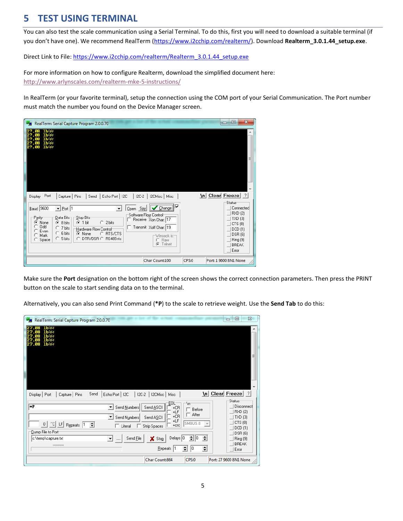#### <span id="page-4-0"></span>**5 TEST USING TERMINAL**

You can also test the scale communication using a Serial Terminal. To do this, first you will need to download a suitable terminal (if you don't have one). We recommend RealTerm ([https://www.i2cchip.com/realterm/\)](https://www.i2cchip.com/realterm/). Download **Realterm\_3.0.1.44\_setup.exe**.

Direct Link to File: [https://www.i2cchip.com/realterm/Realterm\\_3.0.1.44\\_setup.exe](https://www.i2cchip.com/realterm/Realterm_3.0.1.44_setup.exe)

For more information on how to configure Realterm, download the simplified document here: <http://www.arlynscales.com/realterm-mke-5-instructions/>

In RealTerm (or your favorite terminal), setup the connection using the COM port of your Serial Communication. The Port number must match the number you found on the Device Manager screen.

| <b>Pug</b> RealTerm: Serial Capture Program 2.0.0.70                                                                                                                                                                                                                                                                                                                                                                                                                                    |       | $\mathbf{x}$<br>叵<br>-                                                                                                  |
|-----------------------------------------------------------------------------------------------------------------------------------------------------------------------------------------------------------------------------------------------------------------------------------------------------------------------------------------------------------------------------------------------------------------------------------------------------------------------------------------|-------|-------------------------------------------------------------------------------------------------------------------------|
| 1 h Oste<br>1 h îstr<br><b>Th</b> CaLF                                                                                                                                                                                                                                                                                                                                                                                                                                                  |       | Ε                                                                                                                       |
| Port<br>Echo Port   I2C<br>  I2C-2   I2CMisc   Misc<br>Display<br>Capture   Pins<br>Send                                                                                                                                                                                                                                                                                                                                                                                                |       | \n Clear Freeze ?                                                                                                       |
| $\sqrt{\frac{C_{hange}}{C_{hange}}}$<br> ⊽<br>$\mathbf{I}$ Port $\overline{1}$<br>$Baud$ 3600<br>Open Spy<br>▼<br>Software Flow Control<br>Data Bits<br>Stop Bits<br>:P <u>a</u> rity<br>Receive Xon Char: 17<br>$C$ 2 bits<br>G<br>None<br>$G$ 1 bit<br>C 8 bits<br>0dd<br>Transmit Xoff Char: 19<br>C 7 bits<br>Hardware Flow Control<br>Even<br>$C$ 6 bits<br>C RTS/CTS<br>C None<br>Mark<br>Winsock is:-<br>C DTR/DSR C RS485-rts<br>$C$ 5 bits<br>Space<br>Raw<br>O<br>G<br>Telnet |       | <b>Status</b><br>Connected<br>RXD (2)<br>  TXD (3)<br>CTS (8)<br>DCD(1)<br>DSR (6)<br>Ring (9)<br><b>BREAK</b><br>Error |
| Char Count:100                                                                                                                                                                                                                                                                                                                                                                                                                                                                          | CPS:0 | Port: 1 9600 8N1 None                                                                                                   |

Make sure the **Port** designation on the bottom right of the screen shows the correct connection parameters. Then press the PRINT button on the scale to start sending data on to the terminal.

Alternatively, you can also send Print Command (**\*P**) to the scale to retrieve weight. Use the **Send Tab** to do this:

| <b>B</b> RealTerm: Serial Capture Program 2.0.0.70                                                                                                                                                                                                                                                      | $\Sigma$<br>$\qquad \qquad \Box$<br>$\qquad \qquad \Box$                                                |
|---------------------------------------------------------------------------------------------------------------------------------------------------------------------------------------------------------------------------------------------------------------------------------------------------------|---------------------------------------------------------------------------------------------------------|
| 1 h Oste<br>1 հնվե<br>1 հնվե<br>1b Cale                                                                                                                                                                                                                                                                 |                                                                                                         |
|                                                                                                                                                                                                                                                                                                         | 름<br>$\overline{\phantom{a}}$                                                                           |
| Send<br>  I2C-2   I2CMisc   Misc<br>Echo Port   I2C<br>Display   Port<br>Capture   Pins                                                                                                                                                                                                                 | \n Clear Freeze   ?                                                                                     |
| EOL<br>٦m<br>l∗P<br>Send Numbers<br>Send ASCII<br>$\blacktriangledown$<br>$+CR$<br>Before<br>г<br>+LF<br>$\Box$ After<br>+CR<br>Send Numbers<br>Send ASCII<br>$\blacktriangledown$<br>+LF<br>SMBUS <sub>8</sub><br>$ \infty $<br>0<br>LF<br>≑<br>Repeats 1<br>$+$ crc<br>Strip Spaces<br>$\Box$ Literal | <b>Status</b><br>Disconnect<br><b>RXD (2)</b><br>TXD(3)<br>CTS(8)<br>$\overline{\mathcal{N}}$<br>DCD(1) |
| Dump File to Port<br>Delays   0<br>÷۱<br>10<br>c:\temp\capture.txt<br>Send File<br>X Stop<br>▾<br>$\overline{\phantom{a}}$<br>≑<br>Repeats 1<br>10                                                                                                                                                      | DSR (6)<br>쉬<br>Ring (9)<br><b>BREAK</b><br>쉬<br>$ E$ rror                                              |
| CPS:0<br>Char Count:864                                                                                                                                                                                                                                                                                 | Port: 27 9600 8N1 None                                                                                  |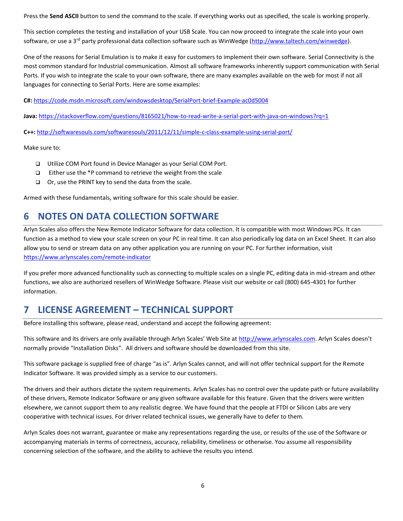Press the **Send ASCII** button to send the command to the scale. If everything works out as specified, the scale is working properly.

This section completes the testing and installation of your USB Scale. You can now proceed to integrate the scale into your own software, or use a 3<sup>rd</sup> party professional data collection software such as WinWedge [\(http://www.taltech.com/winwedge\)](http://www.taltech.com/winwedge).

One of the reasons for Serial Emulation is to make it easy for customers to implement their own software. Serial Connectivity is the most common standard for Industrial communication. Almost all software frameworks inherently support communication with Serial Ports. If you wish to integrate the scale to your own software, there are many examples available on the web for most if not all languages for connecting to Serial Ports. Here are some examples:

**C#:** <https://code.msdn.microsoft.com/windowsdesktop/SerialPort-brief-Example-ac0d5004>

**Java:** <https://stackoverflow.com/questions/8165021/how-to-read-write-a-serial-port-with-java-on-windows?rq=1>

**C++:** <http://softwaresouls.com/softwaresouls/2011/12/11/simple-c-class-example-using-serial-port/>

Make sure to:

- ❑ Utilize COM Port found in Device Manager as your Serial COM Port.
- ❑ Either use the \*P command to retrieve the weight from the scale
- ❑ Or, use the PRINT key to send the data from the scale.

Armed with these fundamentals, writing software for this scale should be easier.

#### <span id="page-5-0"></span>**6 NOTES ON DATA COLLECTION SOFTWARE**

Arlyn Scales also offers the New Remote Indicator Software for data collection. It is compatible with most Windows PCs. It can function as a method to view your scale screen on your PC in real time. It can also periodically log data on an Excel Sheet. It can also allow you to send or stream data on any other application you are running on your PC. For further information, visit <https://www.arlynscales.com/remote-indicator>

If you prefer more advanced functionality such as connecting to multiple scales on a single PC, editing data in mid-stream and other functions, we also are authorized resellers of WinWedge Software. Please visit our website or call (800) 645-4301 for further information.

#### <span id="page-5-1"></span>**7 LICENSE AGREEMENT – TECHNICAL SUPPORT**

Before installing this software, please read, understand and accept the following agreement:

This software and its drivers are only available through Arlyn Scales' Web Site at [http://www.arlynscales.com](http://www.arlynscales.com/). Arlyn Scales doesn't normally provide "Installation Disks". All drivers and software should be downloaded from this site.

This software package is supplied free of charge "as is". Arlyn Scales cannot, and will not offer technical support for the Remote Indicator Software. It was provided simply as a service to our customers.

The drivers and their authors dictate the system requirements. Arlyn Scales has no control over the update path or future availability of these drivers, Remote Indicator Software or any given software available for this feature. Given that the drivers were written elsewhere, we cannot support them to any realistic degree. We have found that the people at FTDI or Silicon Labs are very cooperative with technical issues. For driver related technical issues, we generally have to defer to them.

Arlyn Scales does not warrant, guarantee or make any representations regarding the use, or results of the use of the Software or accompanying materials in terms of correctness, accuracy, reliability, timeliness or otherwise. You assume all responsibility concerning selection of the software, and the ability to achieve the results you intend.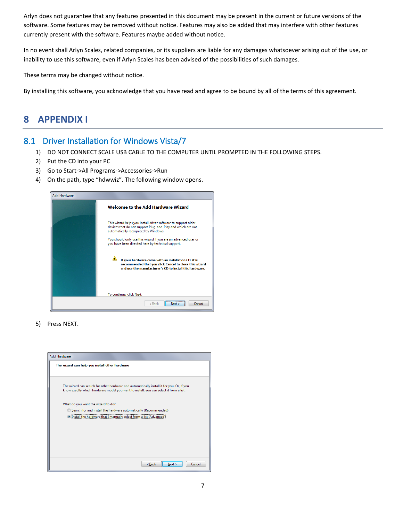Arlyn does not guarantee that any features presented in this document may be present in the current or future versions of the software. Some features may be removed without notice. Features may also be added that may interfere with other features currently present with the software. Features maybe added without notice.

In no event shall Arlyn Scales, related companies, or its suppliers are liable for any damages whatsoever arising out of the use, or inability to use this software, even if Arlyn Scales has been advised of the possibilities of such damages.

These terms may be changed without notice.

By installing this software, you acknowledge that you have read and agree to be bound by all of the terms of this agreement.

#### <span id="page-6-0"></span>**8 APPENDIX I**

#### <span id="page-6-1"></span>8.1 Driver Installation for Windows Vista/7

- 1) DO NOT CONNECT SCALE USB CABLE TO THE COMPUTER UNTIL PROMPTED IN THE FOLLOWING STEPS.
- 2) Put the CD into your PC
- 3) Go to Start->All Programs->Accessories->Run
- 4) On the path, type "hdwwiz". The following window opens.



5) Press NEXT.

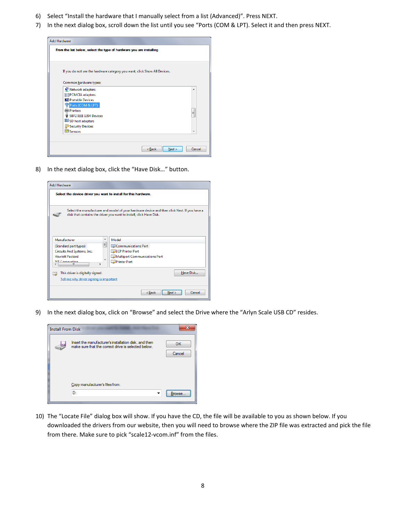- 6) Select "Install the hardware that I manually select from a list (Advanced)". Press NEXT.
- 7) In the next dialog box, scroll down the list until you see "Ports (COM & LPT). Select it and then press NEXT.

| <b>Add Hardware</b>                                                       |        |  |
|---------------------------------------------------------------------------|--------|--|
| From the list below, select the type of hardware you are installing       |        |  |
|                                                                           |        |  |
| If you do not see the hardware category you want, click Show All Devices. |        |  |
| Common hardware types:                                                    |        |  |
| Network adapters                                                          | ▲      |  |
| PCMCIA adapters                                                           |        |  |
| <b>D</b> Portable Devices<br>Ports (COM & LPT)                            |        |  |
| <b>Printers</b>                                                           | Ξ      |  |
| SBP2 IEEE 1394 Devices                                                    |        |  |
| SD host adapters<br>Security Devices                                      |        |  |
| <b>EZI</b> Sensors                                                        | ۰      |  |
|                                                                           |        |  |
|                                                                           |        |  |
| < Back<br>Next                                                            | Cancel |  |

8) In the next dialog box, click the "Have Disk…" button.

| <b>Add Hardware</b>                                                                                                                                                 |                                                                                                      |  |  |  |  |
|---------------------------------------------------------------------------------------------------------------------------------------------------------------------|------------------------------------------------------------------------------------------------------|--|--|--|--|
| Select the device driver you want to install for this hardware.                                                                                                     |                                                                                                      |  |  |  |  |
| Select the manufacturer and model of your hardware device and then click Next. If you have a<br>disk that contains the driver you want to install, click Have Disk. |                                                                                                      |  |  |  |  |
| Manufacturer<br>۸<br>릐<br>(Standard port types)<br>Circuits And Systems, Inc.<br><b>Hewlett Packard</b><br><b>N/T</b> Cornoration<br>k<br>ш                         | Model<br>Communications Port<br>EQ ECP Printer Port<br>Multiport Communications Port<br>Printer Port |  |  |  |  |
| Have Disk<br>This driver is digitally signed.<br>Tell me why driver signing is important                                                                            |                                                                                                      |  |  |  |  |
|                                                                                                                                                                     | Cancel<br>$<$ Back<br>Next                                                                           |  |  |  |  |

9) In the next dialog box, click on "Browse" and select the Drive where the "Arlyn Scale USB CD" resides.



10) The "Locate File" dialog box will show. If you have the CD, the file will be available to you as shown below. If you downloaded the drivers from our website, then you will need to browse where the ZIP file was extracted and pick the file from there. Make sure to pick "scale12-vcom.inf" from the files.